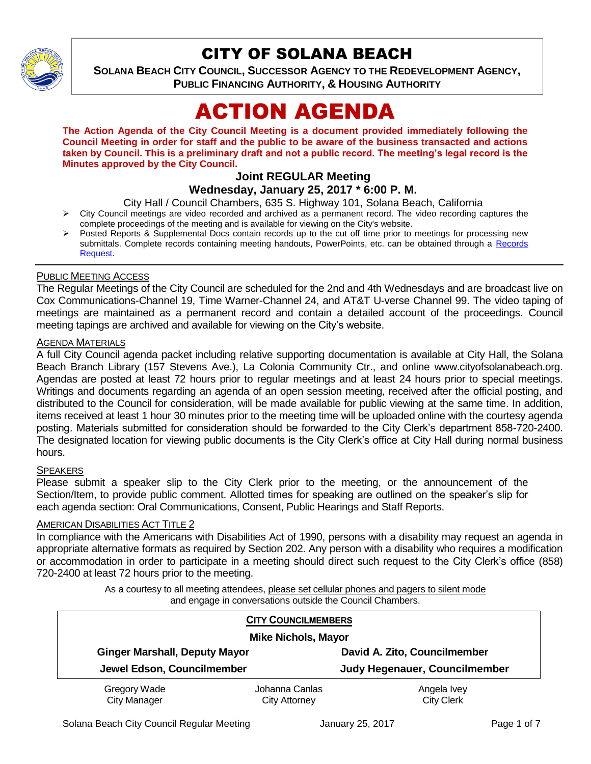

# CITY OF SOLANA BEACH

**SOLANA BEACH CITY COUNCIL, SUCCESSOR AGENCY TO THE REDEVELOPMENT AGENCY, PUBLIC FINANCING AUTHORITY, & HOUSING AUTHORITY** 

# ACTION AGENDA

**The Action Agenda of the City Council Meeting is a document provided immediately following the Council Meeting in order for staff and the public to be aware of the business transacted and actions taken by Council. This is a preliminary draft and not a public record. The meeting's legal record is the Minutes approved by the City Council.**

# **Joint REGULAR Meeting**

# **Wednesday, January 25, 2017 \* 6:00 P. M.**

City Hall / Council Chambers, 635 S. Highway 101, Solana Beach, California

- $\triangleright$  City Council meetings are video recorded and archived as a permanent record. The video recording captures the complete proceedings of the meeting and is available for viewing on the City's website.
- Posted Reports & Supplemental Docs contain records up to the cut off time prior to meetings for processing new submittals. Complete records containing meeting handouts, PowerPoints, etc. can be obtained through a [Records](http://www.ci.solana-beach.ca.us/index.asp?SEC=F5D45D10-70CE-4291-A27C-7BD633FC6742&Type=B_BASIC)  [Request.](http://www.ci.solana-beach.ca.us/index.asp?SEC=F5D45D10-70CE-4291-A27C-7BD633FC6742&Type=B_BASIC)

#### PUBLIC MEETING ACCESS

The Regular Meetings of the City Council are scheduled for the 2nd and 4th Wednesdays and are broadcast live on Cox Communications-Channel 19, Time Warner-Channel 24, and AT&T U-verse Channel 99. The video taping of meetings are maintained as a permanent record and contain a detailed account of the proceedings. Council meeting tapings are archived and available for viewing on the City's website.

#### **AGENDA MATERIALS**

A full City Council agenda packet including relative supporting documentation is available at City Hall, the Solana Beach Branch Library (157 Stevens Ave.), La Colonia Community Ctr., and online www.cityofsolanabeach.org. Agendas are posted at least 72 hours prior to regular meetings and at least 24 hours prior to special meetings. Writings and documents regarding an agenda of an open session meeting, received after the official posting, and distributed to the Council for consideration, will be made available for public viewing at the same time. In addition, items received at least 1 hour 30 minutes prior to the meeting time will be uploaded online with the courtesy agenda posting. Materials submitted for consideration should be forwarded to the City Clerk's department 858-720-2400. The designated location for viewing public documents is the City Clerk's office at City Hall during normal business hours.

#### **SPEAKERS**

Please submit a speaker slip to the City Clerk prior to the meeting, or the announcement of the Section/Item, to provide public comment. Allotted times for speaking are outlined on the speaker's slip for each agenda section: Oral Communications, Consent, Public Hearings and Staff Reports.

#### **AMERICAN DISABILITIES ACT TITLE 2**

In compliance with the Americans with Disabilities Act of 1990, persons with a disability may request an agenda in appropriate alternative formats as required by Section 202. Any person with a disability who requires a modification or accommodation in order to participate in a meeting should direct such request to the City Clerk's office (858) 720-2400 at least 72 hours prior to the meeting.

> As a courtesy to all meeting attendees, please set cellular phones and pagers to silent mode and engage in conversations outside the Council Chambers.

| <b>CITY COUNCILMEMBERS</b>           |                      |                               |
|--------------------------------------|----------------------|-------------------------------|
| <b>Mike Nichols, Mayor</b>           |                      |                               |
| <b>Ginger Marshall, Deputy Mayor</b> |                      | David A. Zito, Councilmember  |
| Jewel Edson, Councilmember           |                      | Judy Hegenauer, Councilmember |
| Gregory Wade                         | Johanna Canlas       | Angela Ivey                   |
| <b>City Manager</b>                  | <b>City Attorney</b> | <b>City Clerk</b>             |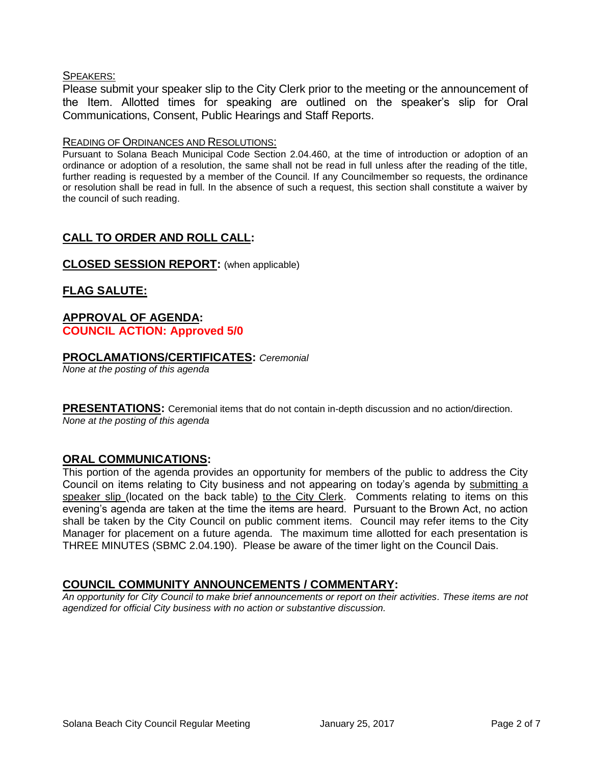#### SPEAKERS:

Please submit your speaker slip to the City Clerk prior to the meeting or the announcement of the Item. Allotted times for speaking are outlined on the speaker's slip for Oral Communications, Consent, Public Hearings and Staff Reports.

#### READING OF ORDINANCES AND RESOLUTIONS:

Pursuant to Solana Beach Municipal Code Section 2.04.460, at the time of introduction or adoption of an ordinance or adoption of a resolution, the same shall not be read in full unless after the reading of the title, further reading is requested by a member of the Council. If any Councilmember so requests, the ordinance or resolution shall be read in full. In the absence of such a request, this section shall constitute a waiver by the council of such reading.

# **CALL TO ORDER AND ROLL CALL:**

#### **CLOSED SESSION REPORT:** (when applicable)

# **FLAG SALUTE:**

#### **APPROVAL OF AGENDA: COUNCIL ACTION: Approved 5/0**

#### **PROCLAMATIONS/CERTIFICATES:** *Ceremonial*

*None at the posting of this agenda*

**PRESENTATIONS:** Ceremonial items that do not contain in-depth discussion and no action/direction. *None at the posting of this agenda*

#### **ORAL COMMUNICATIONS:**

This portion of the agenda provides an opportunity for members of the public to address the City Council on items relating to City business and not appearing on today's agenda by submitting a speaker slip (located on the back table) to the City Clerk. Comments relating to items on this evening's agenda are taken at the time the items are heard. Pursuant to the Brown Act, no action shall be taken by the City Council on public comment items. Council may refer items to the City Manager for placement on a future agenda. The maximum time allotted for each presentation is THREE MINUTES (SBMC 2.04.190). Please be aware of the timer light on the Council Dais.

# **COUNCIL COMMUNITY ANNOUNCEMENTS / COMMENTARY:**

*An opportunity for City Council to make brief announcements or report on their activities. These items are not agendized for official City business with no action or substantive discussion.*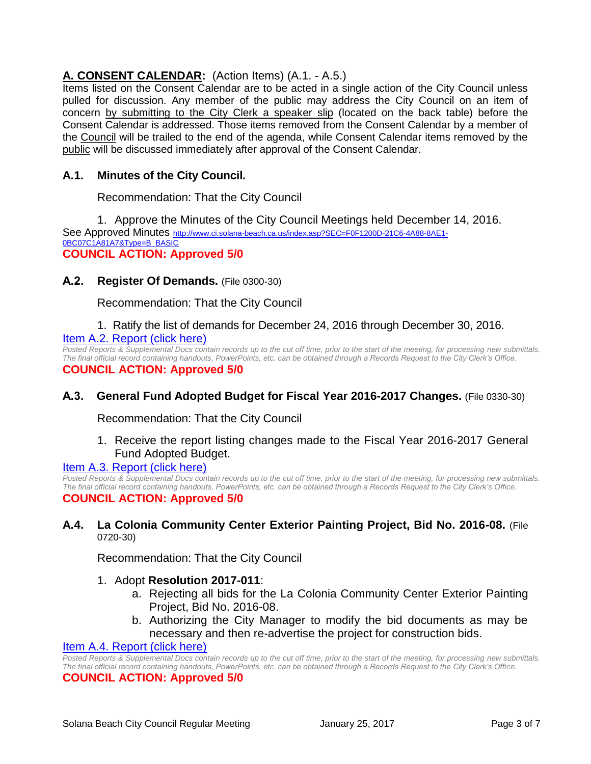# **A. CONSENT CALENDAR:** (Action Items) (A.1. - A.5.)

Items listed on the Consent Calendar are to be acted in a single action of the City Council unless pulled for discussion. Any member of the public may address the City Council on an item of concern by submitting to the City Clerk a speaker slip (located on the back table) before the Consent Calendar is addressed. Those items removed from the Consent Calendar by a member of the Council will be trailed to the end of the agenda, while Consent Calendar items removed by the public will be discussed immediately after approval of the Consent Calendar.

# **A.1. Minutes of the City Council.**

Recommendation: That the City Council

1. Approve the Minutes of the City Council Meetings held December 14, 2016.

See Approved Minutes [http://www.ci.solana-beach.ca.us/index.asp?SEC=F0F1200D-21C6-4A88-8AE1-](http://www.ci.solana-beach.ca.us/index.asp?SEC=F0F1200D-21C6-4A88-8AE1-0BC07C1A81A7&Type=B_BASIC) [0BC07C1A81A7&Type=B\\_BASIC](http://www.ci.solana-beach.ca.us/index.asp?SEC=F0F1200D-21C6-4A88-8AE1-0BC07C1A81A7&Type=B_BASIC) **COUNCIL ACTION: Approved 5/0**

**A.2. Register Of Demands.** (File 0300-30)

Recommendation: That the City Council

1. Ratify the list of demands for December 24, 2016 through December 30, 2016. [Item A.2. Report \(click here\)](https://solanabeach.govoffice3.com/vertical/Sites/%7B840804C2-F869-4904-9AE3-720581350CE7%7D/uploads/Item_A.2._Report_(click_here)_01-25-17.PDF)

*Posted Reports & Supplemental Docs contain records up to the cut off time, prior to the start of the meeting, for processing new submittals. The final official record containing handouts, PowerPoints, etc. can be obtained through a Records Request to the City Clerk's Office.* **COUNCIL ACTION: Approved 5/0**

# **A.3. General Fund Adopted Budget for Fiscal Year 2016-2017 Changes.** (File 0330-30)

Recommendation: That the City Council

1. Receive the report listing changes made to the Fiscal Year 2016-2017 General Fund Adopted Budget.

#### [Item A.3. Report \(click here\)](https://solanabeach.govoffice3.com/vertical/Sites/%7B840804C2-F869-4904-9AE3-720581350CE7%7D/uploads/Item_A.3._Report_(click_here)_01-25-17.PDF)

*Posted Reports & Supplemental Docs contain records up to the cut off time, prior to the start of the meeting, for processing new submittals. The final official record containing handouts, PowerPoints, etc. can be obtained through a Records Request to the City Clerk's Office.* **COUNCIL ACTION: Approved 5/0**

#### **A.4. La Colonia Community Center Exterior Painting Project, Bid No. 2016-08.** (File 0720-30)

Recommendation: That the City Council

#### 1. Adopt **Resolution 2017-011**:

- a. Rejecting all bids for the La Colonia Community Center Exterior Painting Project, Bid No. 2016-08.
- b. Authorizing the City Manager to modify the bid documents as may be necessary and then re-advertise the project for construction bids.

#### **[Item A.4. Report \(click here\)](https://solanabeach.govoffice3.com/vertical/Sites/%7B840804C2-F869-4904-9AE3-720581350CE7%7D/uploads/Item_A.4._Report_(click_here)_01-25-17.PDF)**

*Posted Reports & Supplemental Docs contain records up to the cut off time, prior to the start of the meeting, for processing new submittals. The final official record containing handouts, PowerPoints, etc. can be obtained through a Records Request to the City Clerk's Office.*

#### **COUNCIL ACTION: Approved 5/0**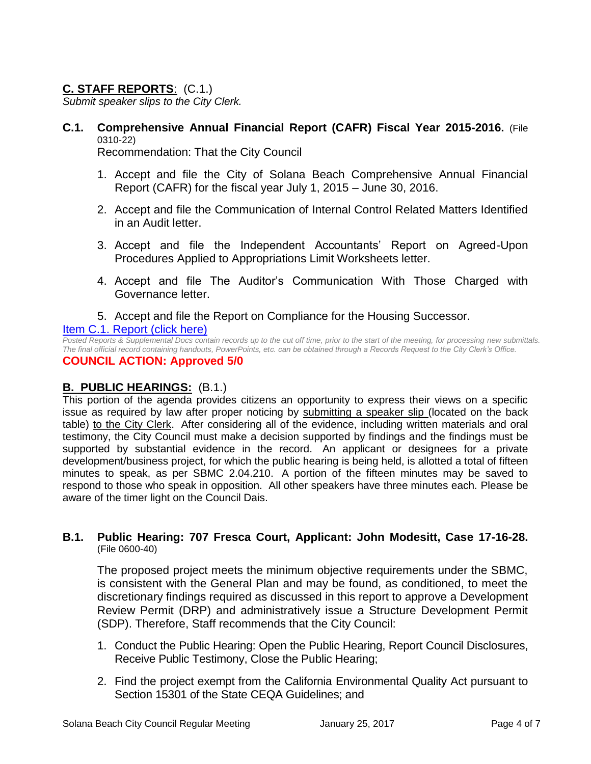# **C. STAFF REPORTS**: (C.1.)

*Submit speaker slips to the City Clerk.*

**C.1. Comprehensive Annual Financial Report (CAFR) Fiscal Year 2015-2016.** (File 0310-22)

Recommendation: That the City Council

- 1. Accept and file the City of Solana Beach Comprehensive Annual Financial Report (CAFR) for the fiscal year July 1, 2015 – June 30, 2016.
- 2. Accept and file the Communication of Internal Control Related Matters Identified in an Audit letter.
- 3. Accept and file the Independent Accountants' Report on Agreed-Upon Procedures Applied to Appropriations Limit Worksheets letter.
- 4. Accept and file The Auditor's Communication With Those Charged with Governance letter.
- 5. Accept and file the Report on Compliance for the Housing Successor.

# [Item C.1. Report \(click here\)](https://solanabeach.govoffice3.com/vertical/Sites/%7B840804C2-F869-4904-9AE3-720581350CE7%7D/uploads/Item_C.1._Report_(click_here)_01-25-17.PDF)

*Posted Reports & Supplemental Docs contain records up to the cut off time, prior to the start of the meeting, for processing new submittals. The final official record containing handouts, PowerPoints, etc. can be obtained through a Records Request to the City Clerk's Office.* **COUNCIL ACTION: Approved 5/0**

# **B. PUBLIC HEARINGS:** (B.1.)

This portion of the agenda provides citizens an opportunity to express their views on a specific issue as required by law after proper noticing by submitting a speaker slip (located on the back table) to the City Clerk. After considering all of the evidence, including written materials and oral testimony, the City Council must make a decision supported by findings and the findings must be supported by substantial evidence in the record. An applicant or designees for a private development/business project, for which the public hearing is being held, is allotted a total of fifteen minutes to speak, as per SBMC 2.04.210. A portion of the fifteen minutes may be saved to respond to those who speak in opposition. All other speakers have three minutes each. Please be aware of the timer light on the Council Dais.

# **B.1. Public Hearing: 707 Fresca Court, Applicant: John Modesitt, Case 17-16-28.** (File 0600-40)

The proposed project meets the minimum objective requirements under the SBMC, is consistent with the General Plan and may be found, as conditioned, to meet the discretionary findings required as discussed in this report to approve a Development Review Permit (DRP) and administratively issue a Structure Development Permit (SDP). Therefore, Staff recommends that the City Council:

- 1. Conduct the Public Hearing: Open the Public Hearing, Report Council Disclosures, Receive Public Testimony, Close the Public Hearing;
- 2. Find the project exempt from the California Environmental Quality Act pursuant to Section 15301 of the State CEQA Guidelines; and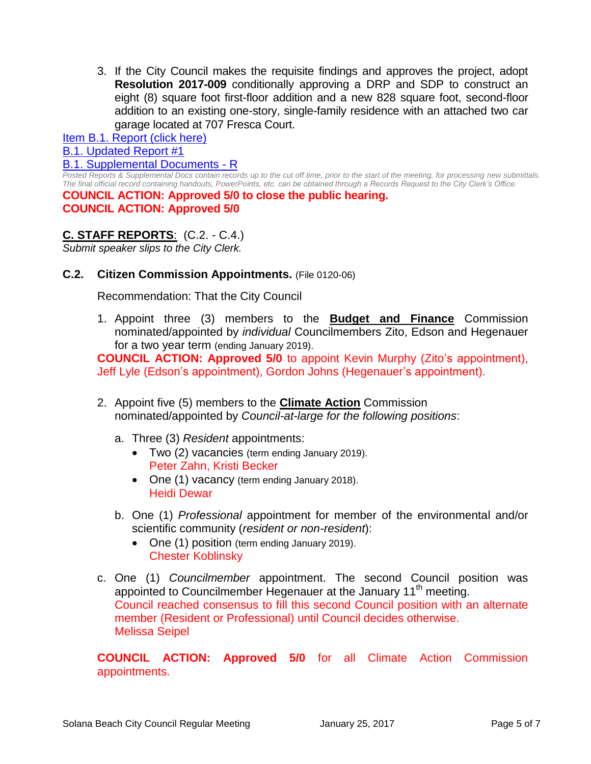3. If the City Council makes the requisite findings and approves the project, adopt **Resolution 2017-009** conditionally approving a DRP and SDP to construct an eight (8) square foot first-floor addition and a new 828 square foot, second-floor addition to an existing one-story, single-family residence with an attached two car garage located at 707 Fresca Court.

# [Item B.1. Report \(click here\)](https://solanabeach.govoffice3.com/vertical/Sites/%7B840804C2-F869-4904-9AE3-720581350CE7%7D/uploads/Item_B.1._Report_(click_here)_01-25-17.PDF)

[B.1. Updated Report #1](https://solanabeach.govoffice3.com/vertical/Sites/%7B840804C2-F869-4904-9AE3-720581350CE7%7D/uploads/B.1._Updated_Report_1_-_1-25-17.pdf)

#### [B.1. Supplemental Documents -](https://solanabeach.govoffice3.com/vertical/Sites/%7B840804C2-F869-4904-9AE3-720581350CE7%7D/uploads/B.1._Supplemental_Documents_-_R_1-25-17.pdf) R

*Posted Reports & Supplemental Docs contain records up to the cut off time, prior to the start of the meeting, for processing new submittals. The final official record containing handouts, PowerPoints, etc. can be obtained through a Records Request to the City Clerk's Office.*

**COUNCIL ACTION: Approved 5/0 to close the public hearing. COUNCIL ACTION: Approved 5/0**

# **C. STAFF REPORTS**: (C.2. - C.4.)

*Submit speaker slips to the City Clerk.*

**C.2. Citizen Commission Appointments.** (File 0120-06)

Recommendation: That the City Council

1. Appoint three (3) members to the **Budget and Finance** Commission nominated/appointed by *individual* Councilmembers Zito, Edson and Hegenauer for a two year term (ending January 2019).

**COUNCIL ACTION: Approved 5/0** to appoint Kevin Murphy (Zito's appointment), Jeff Lyle (Edson's appointment), Gordon Johns (Hegenauer's appointment).

- 2. Appoint five (5) members to the **Climate Action** Commission nominated/appointed by *Council-at-large for the following positions*:
	- a. Three (3) *Resident* appointments:
		- Two (2) vacancies (term ending January 2019). Peter Zahn, Kristi Becker
		- One (1) vacancy (term ending January 2018). Heidi Dewar
	- b. One (1) *Professional* appointment for member of the environmental and/or scientific community (*resident or non-resident*):
		- One (1) position (term ending January 2019). Chester Koblinsky
- c. One (1) *Councilmember* appointment. The second Council position was appointed to Councilmember Hegenauer at the January 11<sup>th</sup> meeting. Council reached consensus to fill this second Council position with an alternate member (Resident or Professional) until Council decides otherwise. Melissa Seipel

**COUNCIL ACTION: Approved 5/0** for all Climate Action Commission appointments.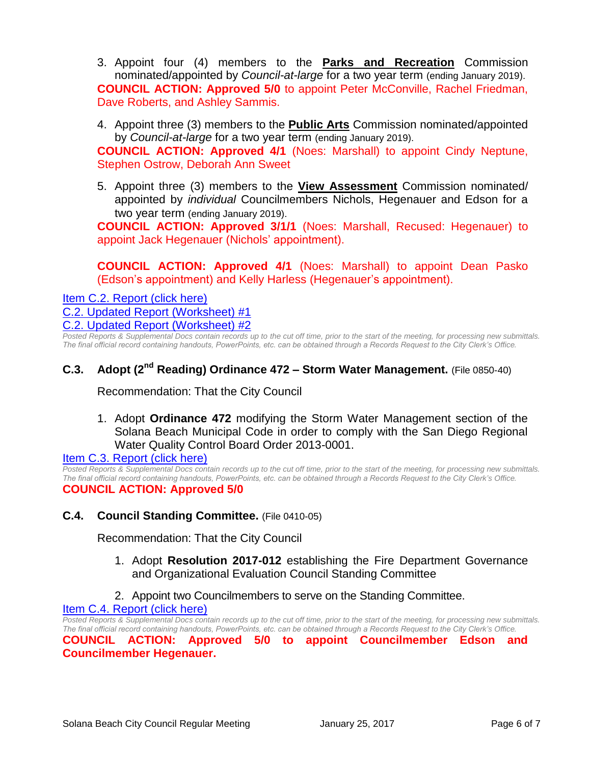3. Appoint four (4) members to the **Parks and Recreation** Commission nominated/appointed by *Council-at-large* for a two year term (ending January 2019). **COUNCIL ACTION: Approved 5/0** to appoint Peter McConville, Rachel Friedman, Dave Roberts, and Ashley Sammis.

4. Appoint three (3) members to the **Public Arts** Commission nominated/appointed by *Council-at-large* for a two year term (ending January 2019).

**COUNCIL ACTION: Approved 4/1** (Noes: Marshall) to appoint Cindy Neptune, Stephen Ostrow, Deborah Ann Sweet

5. Appoint three (3) members to the **View Assessment** Commission nominated/ appointed by *individual* Councilmembers Nichols, Hegenauer and Edson for a two year term (ending January 2019).

**COUNCIL ACTION: Approved 3/1/1** (Noes: Marshall, Recused: Hegenauer) to appoint Jack Hegenauer (Nichols' appointment).

**COUNCIL ACTION: Approved 4/1** (Noes: Marshall) to appoint Dean Pasko (Edson's appointment) and Kelly Harless (Hegenauer's appointment).

[Item C.2. Report \(click here\)](https://solanabeach.govoffice3.com/vertical/Sites/%7B840804C2-F869-4904-9AE3-720581350CE7%7D/uploads/Item_C.2._Report_(click_here)_01-25-17.PDF) [C.2. Updated Report \(Worksheet\) #1](https://solanabeach.govoffice3.com/vertical/Sites/%7B840804C2-F869-4904-9AE3-720581350CE7%7D/uploads/C.2._Updated_Report_(wrksht)-_1-25-17.pdf) [C.2. Updated Report \(Worksheet\) #2](https://solanabeach.govoffice3.com/vertical/Sites/%7B840804C2-F869-4904-9AE3-720581350CE7%7D/uploads/C.2._Updated_Report_(wrksht)_2-_1-25-17.pdf)

*Posted Reports & Supplemental Docs contain records up to the cut off time, prior to the start of the meeting, for processing new submittals. The final official record containing handouts, PowerPoints, etc. can be obtained through a Records Request to the City Clerk's Office.*

# **C.3. Adopt (2nd Reading) Ordinance 472 – Storm Water Management.** (File 0850-40)

Recommendation: That the City Council

1. Adopt **Ordinance 472** modifying the Storm Water Management section of the Solana Beach Municipal Code in order to comply with the San Diego Regional Water Quality Control Board Order 2013-0001.

[Item C.3. Report \(click here\)](https://solanabeach.govoffice3.com/vertical/Sites/%7B840804C2-F869-4904-9AE3-720581350CE7%7D/uploads/Item_C.3._Report_(click_here)_01-25-17.PDF)

*Posted Reports & Supplemental Docs contain records up to the cut off time, prior to the start of the meeting, for processing new submittals. The final official record containing handouts, PowerPoints, etc. can be obtained through a Records Request to the City Clerk's Office.* **COUNCIL ACTION: Approved 5/0**

# **C.4. Council Standing Committee.** (File 0410-05)

Recommendation: That the City Council

- 1. Adopt **Resolution 2017-012** establishing the Fire Department Governance and Organizational Evaluation Council Standing Committee
- 2. Appoint two Councilmembers to serve on the Standing Committee.

[Item C.4. Report \(click here\)](https://solanabeach.govoffice3.com/vertical/Sites/%7B840804C2-F869-4904-9AE3-720581350CE7%7D/uploads/Item_C.4._Report_(click_here)_01-25-17.PDF)

*Posted Reports & Supplemental Docs contain records up to the cut off time, prior to the start of the meeting, for processing new submittals. The final official record containing handouts, PowerPoints, etc. can be obtained through a Records Request to the City Clerk's Office.* **COUNCIL ACTION: Approved 5/0 to appoint Councilmember Edson and Councilmember Hegenauer.**